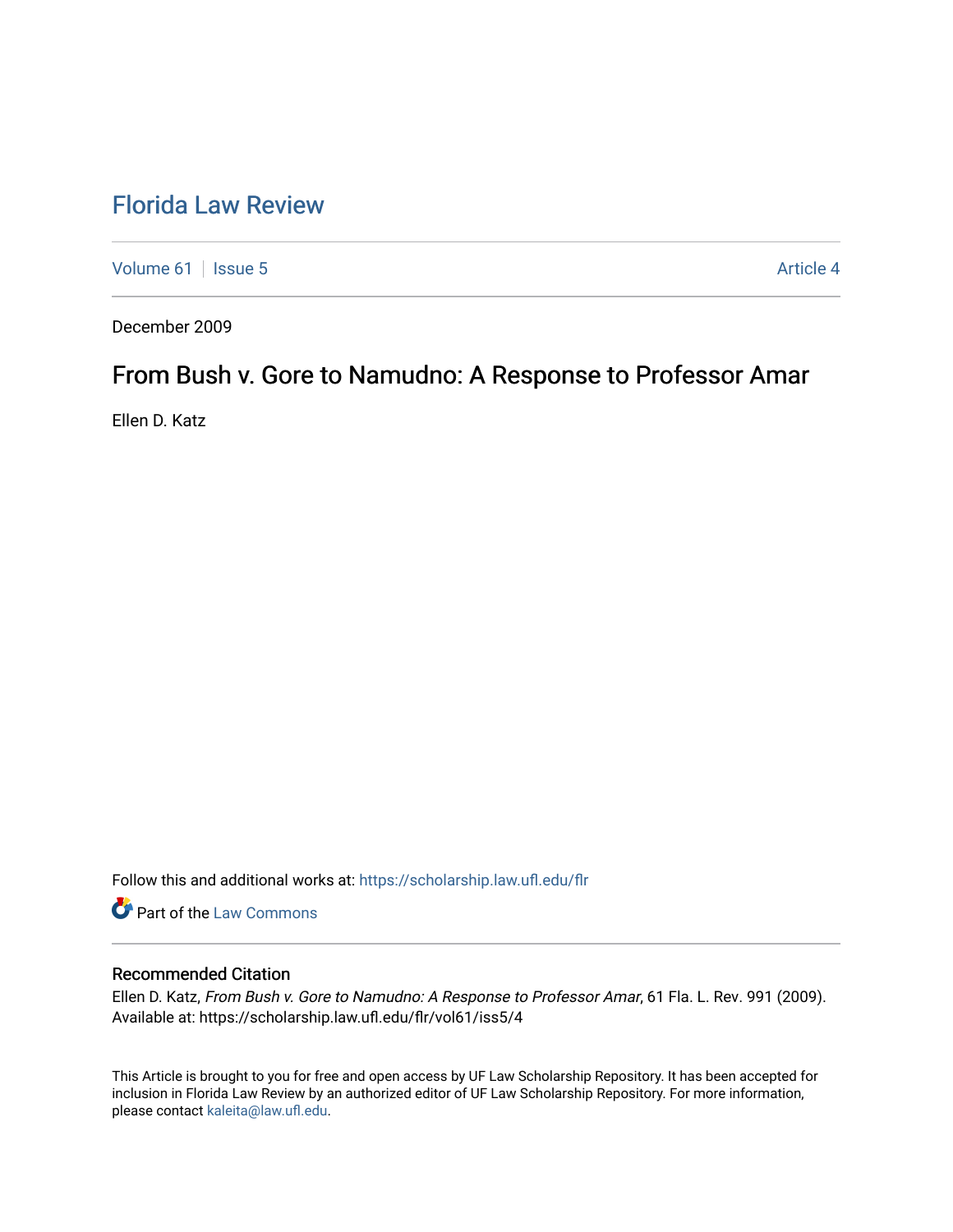# [Florida Law Review](https://scholarship.law.ufl.edu/flr)

[Volume 61](https://scholarship.law.ufl.edu/flr/vol61) | [Issue 5](https://scholarship.law.ufl.edu/flr/vol61/iss5) Article 4

December 2009

# From Bush v. Gore to Namudno: A Response to Professor Amar

Ellen D. Katz

Follow this and additional works at: [https://scholarship.law.ufl.edu/flr](https://scholarship.law.ufl.edu/flr?utm_source=scholarship.law.ufl.edu%2Fflr%2Fvol61%2Fiss5%2F4&utm_medium=PDF&utm_campaign=PDFCoverPages)

Part of the [Law Commons](http://network.bepress.com/hgg/discipline/578?utm_source=scholarship.law.ufl.edu%2Fflr%2Fvol61%2Fiss5%2F4&utm_medium=PDF&utm_campaign=PDFCoverPages)

## Recommended Citation

Ellen D. Katz, From Bush v. Gore to Namudno: A Response to Professor Amar, 61 Fla. L. Rev. 991 (2009). Available at: https://scholarship.law.ufl.edu/flr/vol61/iss5/4

This Article is brought to you for free and open access by UF Law Scholarship Repository. It has been accepted for inclusion in Florida Law Review by an authorized editor of UF Law Scholarship Repository. For more information, please contact [kaleita@law.ufl.edu](mailto:kaleita@law.ufl.edu).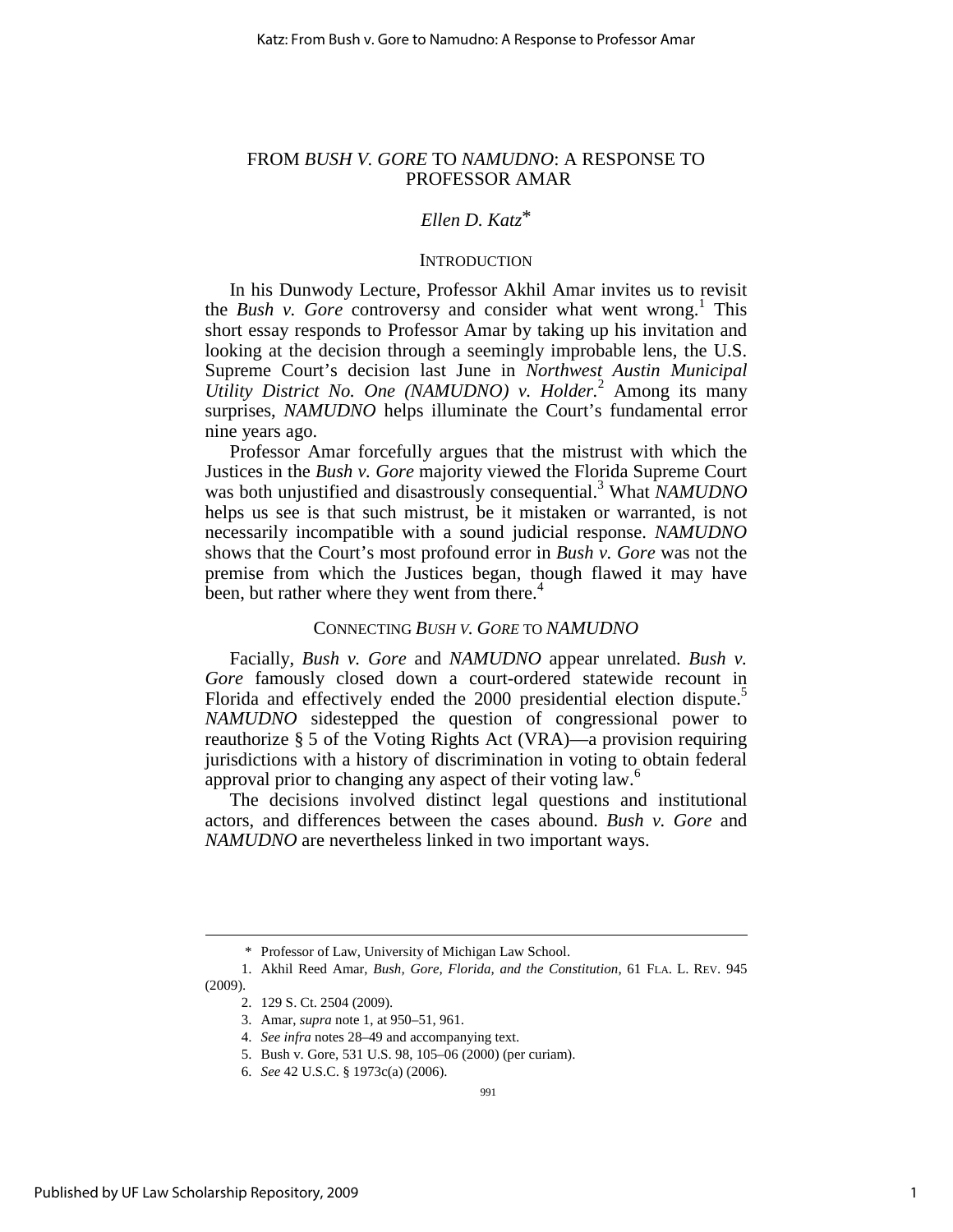## FROM *BUSH V. GORE* TO *NAMUDNO*: A RESPONSE TO PROFESSOR AMAR

# *Ellen D. Katz*\*

## **INTRODUCTION**

In his Dunwody Lecture, Professor Akhil Amar invites us to revisit the *Bush v. Gore* controversy and consider what went wrong.<sup>1</sup> This short essay responds to Professor Amar by taking up his invitation and looking at the decision through a seemingly improbable lens, the U.S. Supreme Court's decision last June in *Northwest Austin Municipal Utility District No. One (NAMUDNO) v. Holder.*<sup>2</sup> Among its many surprises, *NAMUDNO* helps illuminate the Court's fundamental error nine years ago.

Professor Amar forcefully argues that the mistrust with which the Justices in the *Bush v. Gore* majority viewed the Florida Supreme Court was both unjustified and disastrously consequential.<sup>3</sup> What *NAMUDNO* helps us see is that such mistrust, be it mistaken or warranted, is not necessarily incompatible with a sound judicial response. *NAMUDNO* shows that the Court's most profound error in *Bush v. Gore* was not the premise from which the Justices began, though flawed it may have been, but rather where they went from there.<sup>4</sup>

## CONNECTING *BUSH V. GORE* TO *NAMUDNO*

Facially, *Bush v. Gore* and *NAMUDNO* appear unrelated. *Bush v. Gore* famously closed down a court-ordered statewide recount in Florida and effectively ended the 2000 presidential election dispute.<sup>5</sup> *NAMUDNO* sidestepped the question of congressional power to reauthorize § 5 of the Voting Rights Act (VRA)—a provision requiring jurisdictions with a history of discrimination in voting to obtain federal approval prior to changing any aspect of their voting law.<sup>6</sup>

The decisions involved distinct legal questions and institutional actors, and differences between the cases abound. *Bush v. Gore* and *NAMUDNO* are nevertheless linked in two important ways.

l

 <sup>\*</sup> Professor of Law, University of Michigan Law School.

 <sup>1.</sup> Akhil Reed Amar, *Bush, Gore, Florida, and the Constitution*, 61 FLA. L. REV. 945 (2009).

 <sup>2. 129</sup> S. Ct. 2504 (2009).

 <sup>3.</sup> Amar, *supra* note 1, at 950–51, 961.

 <sup>4.</sup> *See infra* notes 28–49 and accompanying text.

 <sup>5.</sup> Bush v. Gore, 531 U.S. 98, 105–06 (2000) (per curiam).

 <sup>6.</sup> *See* 42 U.S.C. § 1973c(a) (2006).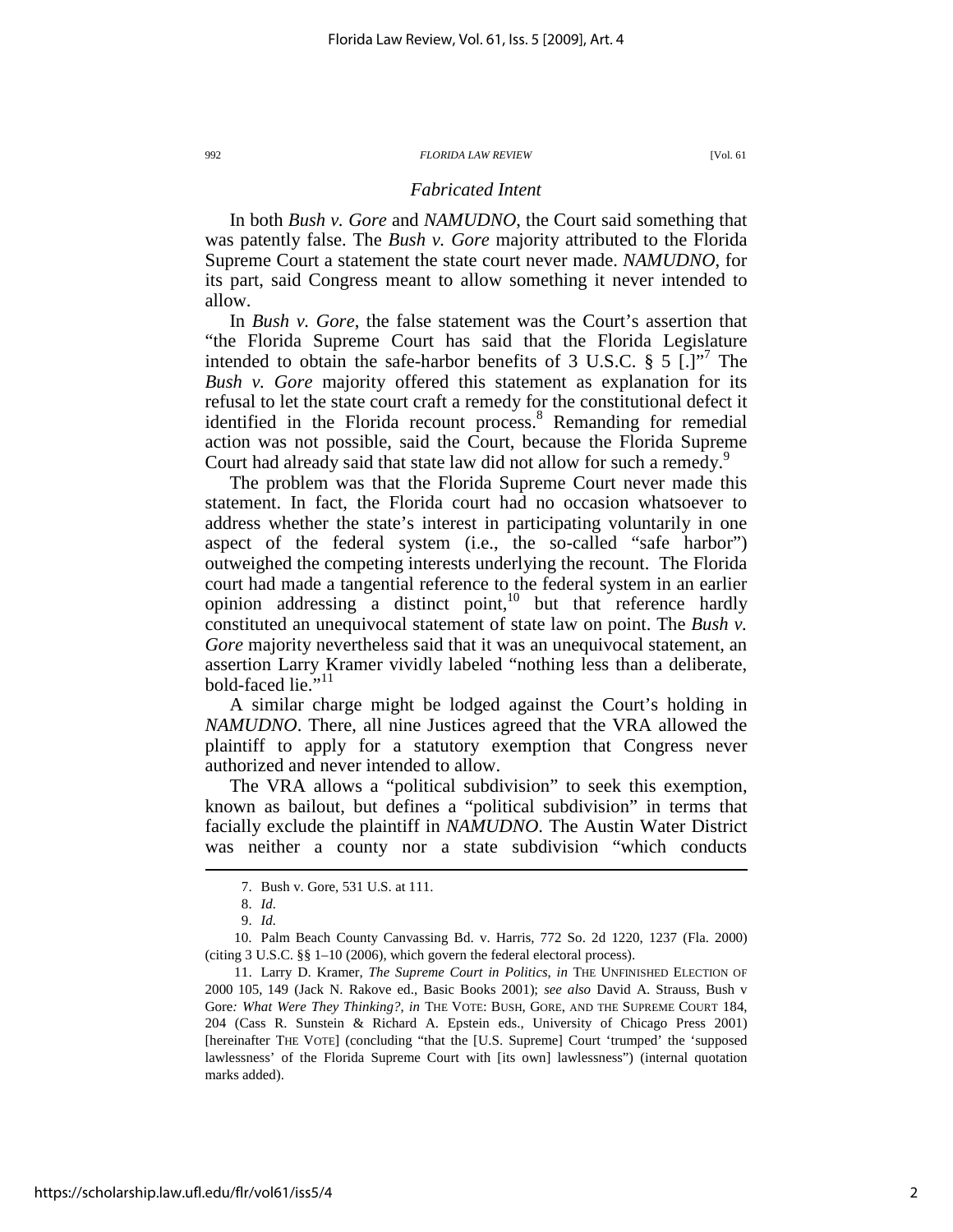## *Fabricated Intent*

In both *Bush v. Gore* and *NAMUDNO*, the Court said something that was patently false. The *Bush v. Gore* majority attributed to the Florida Supreme Court a statement the state court never made. *NAMUDNO*, for its part, said Congress meant to allow something it never intended to allow.

In *Bush v. Gore*, the false statement was the Court's assertion that "the Florida Supreme Court has said that the Florida Legislature intended to obtain the safe-harbor benefits of 3 U.S.C.  $\S$  5  $\left[ . \right]$ <sup>77</sup> The *Bush v. Gore* majority offered this statement as explanation for its refusal to let the state court craft a remedy for the constitutional defect it identified in the Florida recount process.<sup>8</sup> Remanding for remedial action was not possible, said the Court, because the Florida Supreme Court had already said that state law did not allow for such a remedy.<sup>9</sup>

The problem was that the Florida Supreme Court never made this statement. In fact, the Florida court had no occasion whatsoever to address whether the state's interest in participating voluntarily in one aspect of the federal system (i.e., the so-called "safe harbor") outweighed the competing interests underlying the recount. The Florida court had made a tangential reference to the federal system in an earlier opinion addressing  $\alpha$  distinct point,<sup>10</sup> but that reference hardly constituted an unequivocal statement of state law on point. The *Bush v. Gore* majority nevertheless said that it was an unequivocal statement, an assertion Larry Kramer vividly labeled "nothing less than a deliberate, bold-faced lie."<sup>11</sup>

A similar charge might be lodged against the Court's holding in *NAMUDNO*. There, all nine Justices agreed that the VRA allowed the plaintiff to apply for a statutory exemption that Congress never authorized and never intended to allow.

The VRA allows a "political subdivision" to seek this exemption, known as bailout, but defines a "political subdivision" in terms that facially exclude the plaintiff in *NAMUDNO*. The Austin Water District was neither a county nor a state subdivision "which conducts

 $\overline{a}$ 

 10. Palm Beach County Canvassing Bd. v. Harris, 772 So. 2d 1220, 1237 (Fla. 2000) (citing 3 U.S.C. §§ 1–10 (2006), which govern the federal electoral process).

 11. Larry D. Kramer, *The Supreme Court in Politics*, *in* THE UNFINISHED ELECTION OF 2000 105, 149 (Jack N. Rakove ed., Basic Books 2001); *see also* David A. Strauss, Bush v Gore*: What Were They Thinking?*, *in* THE VOTE: BUSH, GORE, AND THE SUPREME COURT 184, 204 (Cass R. Sunstein & Richard A. Epstein eds., University of Chicago Press 2001) [hereinafter THE VOTE] (concluding "that the [U.S. Supreme] Court 'trumped' the 'supposed lawlessness' of the Florida Supreme Court with [its own] lawlessness") (internal quotation marks added).

 <sup>7.</sup> Bush v. Gore, 531 U.S. at 111.

 <sup>8.</sup> *Id.*

 <sup>9.</sup> *Id.*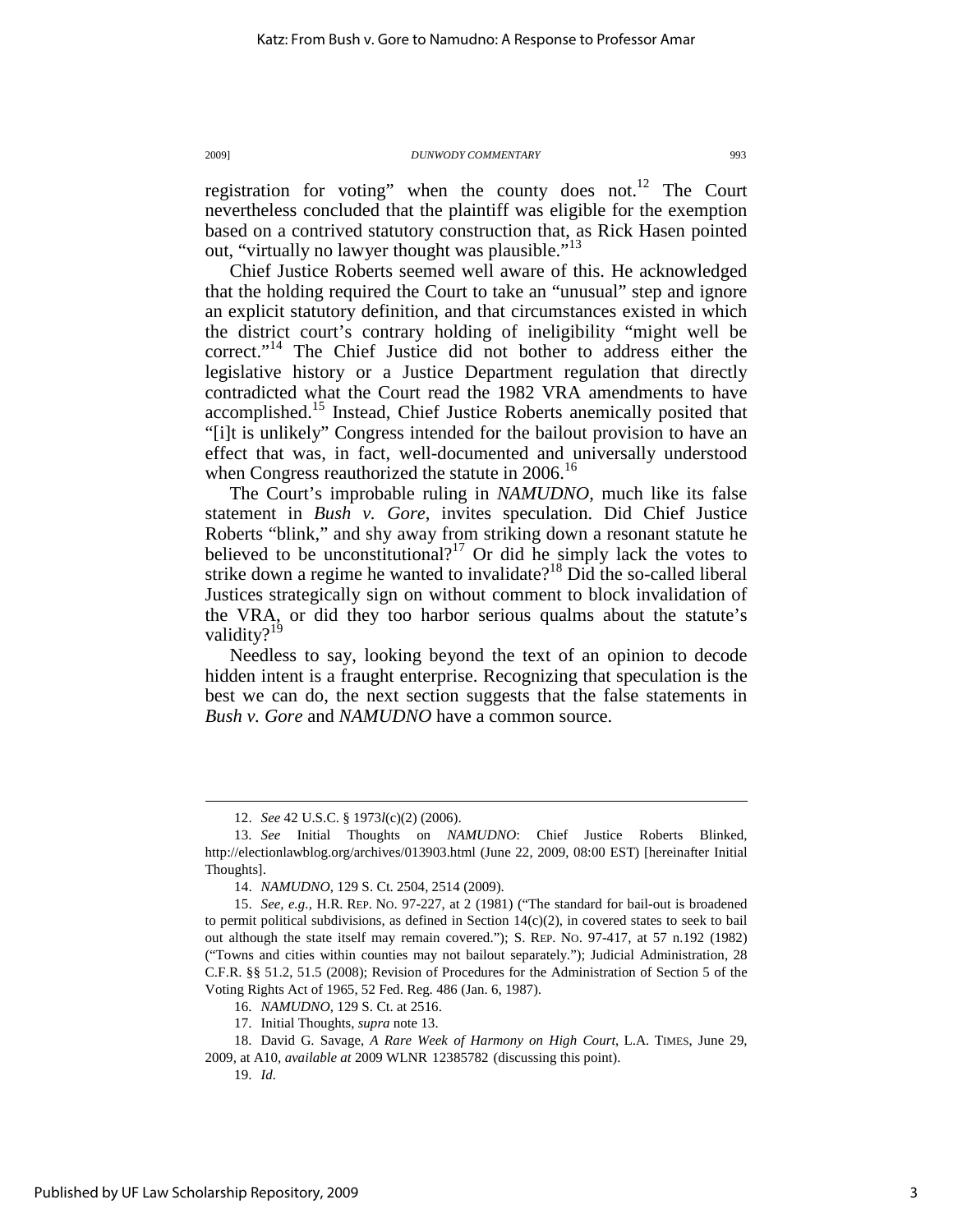registration for voting" when the county does not.<sup>12</sup> The Court nevertheless concluded that the plaintiff was eligible for the exemption based on a contrived statutory construction that, as Rick Hasen pointed out, "virtually no lawyer thought was plausible."<sup>13</sup>

Chief Justice Roberts seemed well aware of this. He acknowledged that the holding required the Court to take an "unusual" step and ignore an explicit statutory definition, and that circumstances existed in which the district court's contrary holding of ineligibility "might well be correct."<sup>14</sup> The Chief Justice did not bother to address either the legislative history or a Justice Department regulation that directly contradicted what the Court read the 1982 VRA amendments to have accomplished.<sup>15</sup> Instead, Chief Justice Roberts anemically posited that "[i]t is unlikely" Congress intended for the bailout provision to have an effect that was, in fact, well-documented and universally understood when Congress reauthorized the statute in 2006.<sup>16</sup>

The Court's improbable ruling in *NAMUDNO*, much like its false statement in *Bush v. Gore*, invites speculation. Did Chief Justice Roberts "blink," and shy away from striking down a resonant statute he believed to be unconstitutional?<sup>17</sup> Or did he simply lack the votes to strike down a regime he wanted to invalidate?<sup>18</sup> Did the so-called liberal Justices strategically sign on without comment to block invalidation of the VRA, or did they too harbor serious qualms about the statute's validity?<sup>19</sup>

Needless to say, looking beyond the text of an opinion to decode hidden intent is a fraught enterprise. Recognizing that speculation is the best we can do, the next section suggests that the false statements in *Bush v. Gore* and *NAMUDNO* have a common source.

17. Initial Thoughts, *supra* note 13.

 <sup>12.</sup> *See* 42 U.S.C. § 1973*l*(c)(2) (2006).

 <sup>13.</sup> *See* Initial Thoughts on *NAMUDNO*: Chief Justice Roberts Blinked, http://electionlawblog.org/archives/013903.html (June 22, 2009, 08:00 EST) [hereinafter Initial Thoughts].

 <sup>14.</sup> *NAMUDNO*, 129 S. Ct. 2504, 2514 (2009).

 <sup>15.</sup> *See, e.g.*, H.R. REP. NO. 97-227, at 2 (1981) ("The standard for bail-out is broadened to permit political subdivisions, as defined in Section 14(c)(2), in covered states to seek to bail out although the state itself may remain covered."); S. REP. NO. 97-417, at 57 n.192 (1982) ("Towns and cities within counties may not bailout separately."); Judicial Administration, 28 C.F.R. §§ 51.2, 51.5 (2008); Revision of Procedures for the Administration of Section 5 of the Voting Rights Act of 1965, 52 Fed. Reg. 486 (Jan. 6, 1987).

 <sup>16.</sup> *NAMUDNO*, 129 S. Ct. at 2516.

 <sup>18.</sup> David G. Savage, *A Rare Week of Harmony on High Court*, L.A. TIMES, June 29, 2009, at A10, *available at* 2009 WLNR 12385782 (discussing this point).

 <sup>19.</sup> *Id.*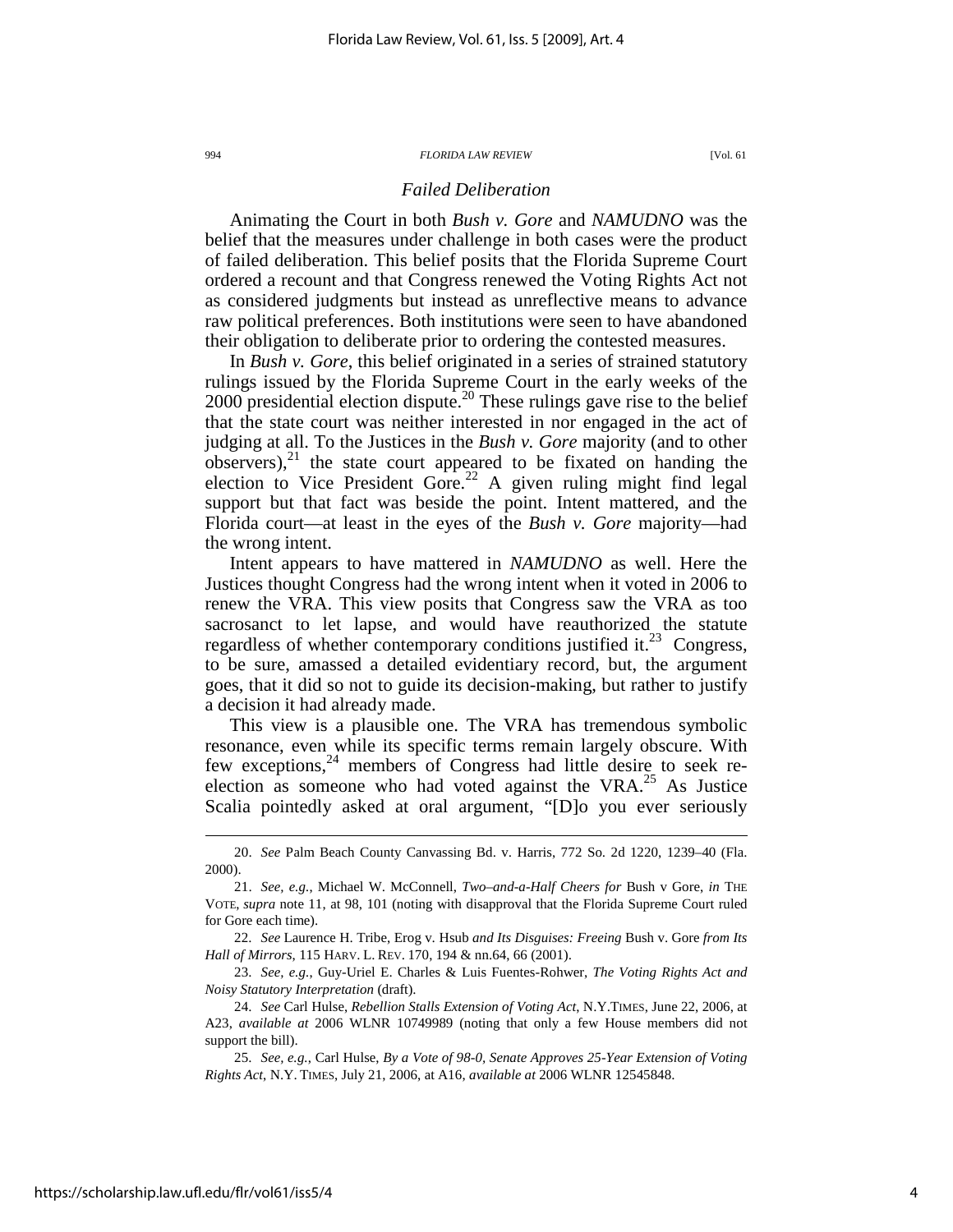## *Failed Deliberation*

Animating the Court in both *Bush v. Gore* and *NAMUDNO* was the belief that the measures under challenge in both cases were the product of failed deliberation. This belief posits that the Florida Supreme Court ordered a recount and that Congress renewed the Voting Rights Act not as considered judgments but instead as unreflective means to advance raw political preferences. Both institutions were seen to have abandoned their obligation to deliberate prior to ordering the contested measures.

In *Bush v. Gore*, this belief originated in a series of strained statutory rulings issued by the Florida Supreme Court in the early weeks of the  $2000$  presidential election dispute.<sup>20</sup> These rulings gave rise to the belief that the state court was neither interested in nor engaged in the act of judging at all. To the Justices in the *Bush v. Gore* majority (and to other  $observers$ , $^{21}$  the state court appeared to be fixated on handing the election to Vice President Gore.<sup>22</sup> A given ruling might find legal support but that fact was beside the point. Intent mattered, and the Florida court—at least in the eyes of the *Bush v. Gore* majority—had the wrong intent.

Intent appears to have mattered in *NAMUDNO* as well. Here the Justices thought Congress had the wrong intent when it voted in 2006 to renew the VRA. This view posits that Congress saw the VRA as too sacrosanct to let lapse, and would have reauthorized the statute regardless of whether contemporary conditions justified it.<sup>23</sup> Congress, to be sure, amassed a detailed evidentiary record, but, the argument goes, that it did so not to guide its decision-making, but rather to justify a decision it had already made.

This view is a plausible one. The VRA has tremendous symbolic resonance, even while its specific terms remain largely obscure. With few exceptions, $24$  members of Congress had little desire to seek reelection as someone who had voted against the  $VRA$ <sup>25</sup> As Justice Scalia pointedly asked at oral argument, "[D]o you ever seriously

 <sup>20.</sup> *See* Palm Beach County Canvassing Bd. v. Harris, 772 So. 2d 1220, 1239–40 (Fla. 2000).

 <sup>21.</sup> *See, e.g.*, Michael W. McConnell, *Two–and-a-Half Cheers for* Bush v Gore, *in* THE VOTE, *supra* note 11, at 98, 101 (noting with disapproval that the Florida Supreme Court ruled for Gore each time).

 <sup>22.</sup> *See* Laurence H. Tribe, Erog v. Hsub *and Its Disguises: Freeing* Bush v. Gore *from Its Hall of Mirrors*, 115 HARV. L. REV. 170, 194 & nn.64, 66 (2001).

 <sup>23.</sup> *See, e.g.*, Guy-Uriel E. Charles & Luis Fuentes-Rohwer, *The Voting Rights Act and Noisy Statutory Interpretation* (draft).

 <sup>24.</sup> *See* Carl Hulse, *Rebellion Stalls Extension of Voting Act*, N.Y.TIMES, June 22, 2006, at A23, *available at* 2006 WLNR 10749989 (noting that only a few House members did not support the bill).

 <sup>25.</sup> *See, e.g.*, Carl Hulse, *By a Vote of 98-0, Senate Approves 25-Year Extension of Voting Rights Act*, N.Y. TIMES, July 21, 2006, at A16, *available at* 2006 WLNR 12545848.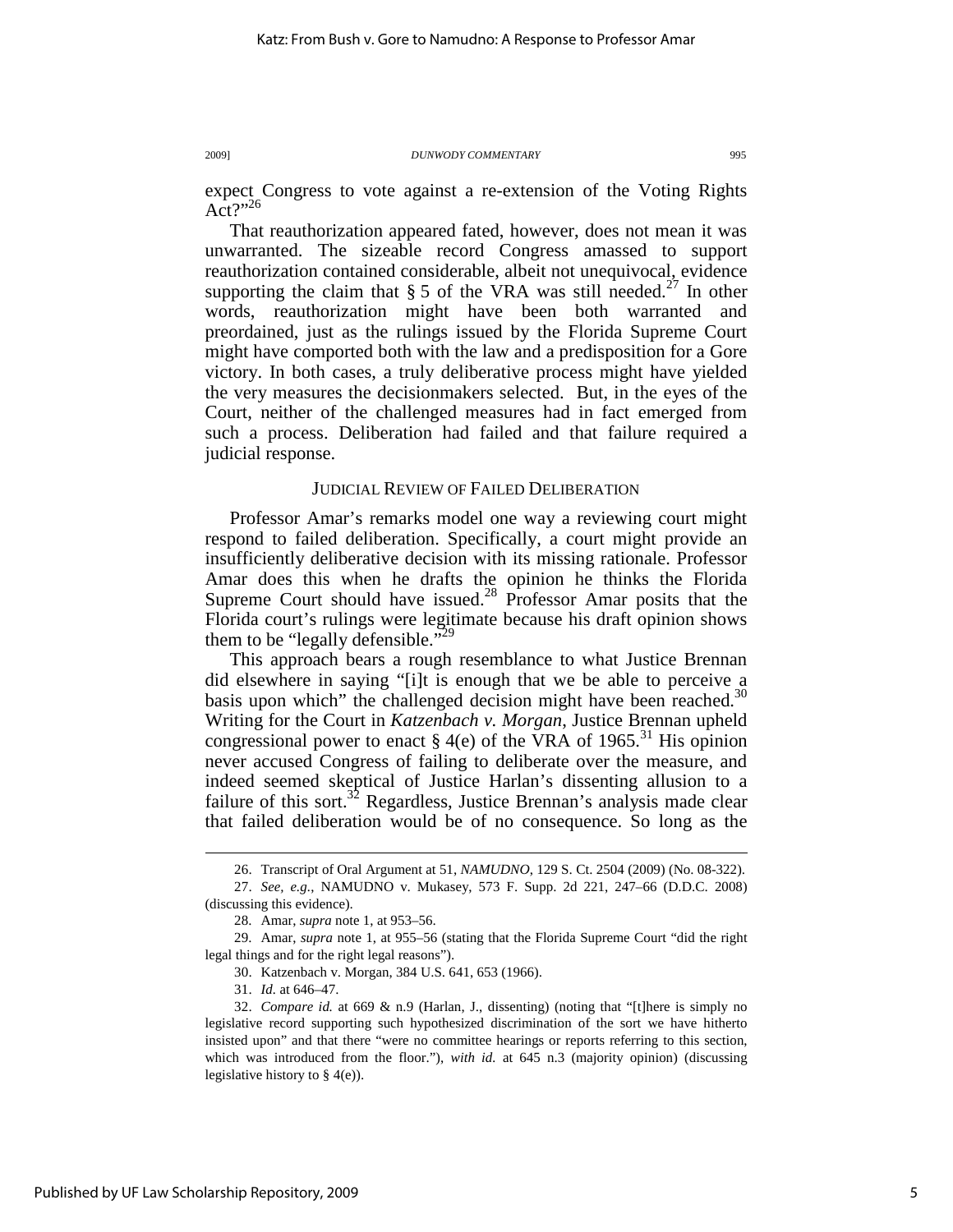expect Congress to vote against a re-extension of the Voting Rights  $Act?"^{26}$ 

That reauthorization appeared fated, however, does not mean it was unwarranted. The sizeable record Congress amassed to support reauthorization contained considerable, albeit not unequivocal, evidence supporting the claim that  $\S 5$  of the VRA was still needed.<sup>27</sup> In other words, reauthorization might have been both warranted and preordained, just as the rulings issued by the Florida Supreme Court might have comported both with the law and a predisposition for a Gore victory. In both cases, a truly deliberative process might have yielded the very measures the decisionmakers selected. But, in the eyes of the Court, neither of the challenged measures had in fact emerged from such a process. Deliberation had failed and that failure required a judicial response.

## JUDICIAL REVIEW OF FAILED DELIBERATION

Professor Amar's remarks model one way a reviewing court might respond to failed deliberation. Specifically, a court might provide an insufficiently deliberative decision with its missing rationale. Professor Amar does this when he drafts the opinion he thinks the Florida Supreme Court should have issued.<sup>28</sup> Professor Amar posits that the Florida court's rulings were legitimate because his draft opinion shows them to be "legally defensible."

This approach bears a rough resemblance to what Justice Brennan did elsewhere in saying "[i]t is enough that we be able to perceive a basis upon which" the challenged decision might have been reached. $30$ Writing for the Court in *Katzenbach v. Morgan*, Justice Brennan upheld congressional power to enact  $\S$  4(e) of the VRA of 1965.<sup>31</sup> His opinion never accused Congress of failing to deliberate over the measure, and indeed seemed skeptical of Justice Harlan's dissenting allusion to a failure of this sort.<sup>32</sup> Regardless, Justice Brennan's analysis made clear that failed deliberation would be of no consequence. So long as the

30. Katzenbach v. Morgan, 384 U.S. 641, 653 (1966).

31. *Id.* at 646–47.

 <sup>26.</sup> Transcript of Oral Argument at 51, *NAMUDNO*, 129 S. Ct. 2504 (2009) (No. 08-322).

 <sup>27.</sup> *See, e.g.*, NAMUDNO v. Mukasey, 573 F. Supp. 2d 221, 247–66 (D.D.C. 2008) (discussing this evidence).

 <sup>28.</sup> Amar, *supra* note 1, at 953–56.

 <sup>29.</sup> Amar, *supra* note 1, at 955–56 (stating that the Florida Supreme Court "did the right legal things and for the right legal reasons").

 <sup>32.</sup> *Compare id.* at 669 & n.9 (Harlan, J., dissenting) (noting that "[t]here is simply no legislative record supporting such hypothesized discrimination of the sort we have hitherto insisted upon" and that there "were no committee hearings or reports referring to this section, which was introduced from the floor."), *with id.* at 645 n.3 (majority opinion) (discussing legislative history to § 4(e)).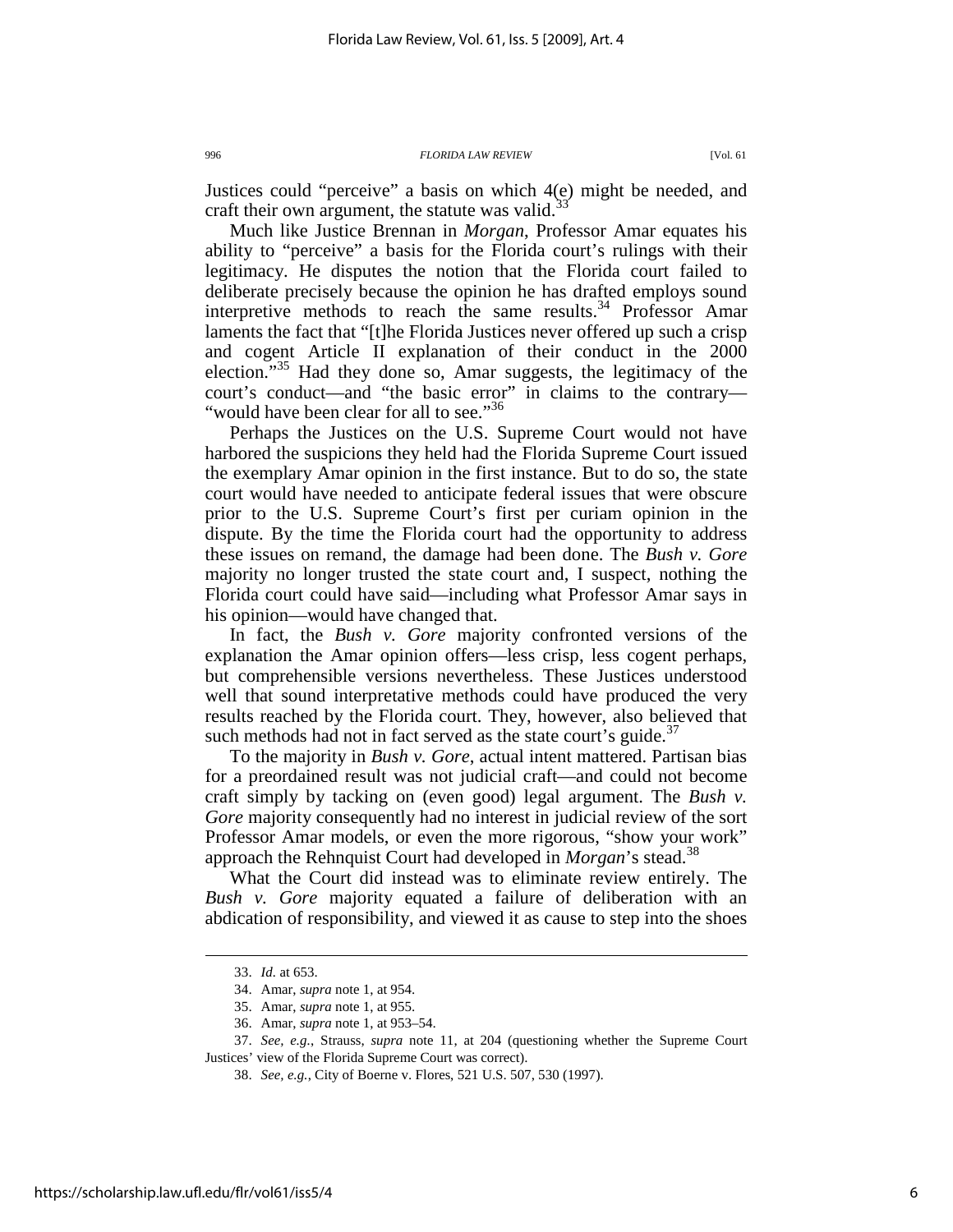Justices could "perceive" a basis on which 4(e) might be needed, and craft their own argument, the statute was valid.<sup>3</sup>

Much like Justice Brennan in *Morgan*, Professor Amar equates his ability to "perceive" a basis for the Florida court's rulings with their legitimacy. He disputes the notion that the Florida court failed to deliberate precisely because the opinion he has drafted employs sound interpretive methods to reach the same results.<sup>34</sup> Professor Amar laments the fact that "[t]he Florida Justices never offered up such a crisp and cogent Article II explanation of their conduct in the 2000 election."<sup>35</sup> Had they done so, Amar suggests, the legitimacy of the court's conduct—and "the basic error" in claims to the contrary— "would have been clear for all to see."<sup>36</sup>

Perhaps the Justices on the U.S. Supreme Court would not have harbored the suspicions they held had the Florida Supreme Court issued the exemplary Amar opinion in the first instance. But to do so, the state court would have needed to anticipate federal issues that were obscure prior to the U.S. Supreme Court's first per curiam opinion in the dispute. By the time the Florida court had the opportunity to address these issues on remand, the damage had been done. The *Bush v. Gore* majority no longer trusted the state court and, I suspect, nothing the Florida court could have said—including what Professor Amar says in his opinion—would have changed that.

In fact, the *Bush v. Gore* majority confronted versions of the explanation the Amar opinion offers—less crisp, less cogent perhaps, but comprehensible versions nevertheless. These Justices understood well that sound interpretative methods could have produced the very results reached by the Florida court. They, however, also believed that such methods had not in fact served as the state court's guide. $37$ 

To the majority in *Bush v. Gore*, actual intent mattered. Partisan bias for a preordained result was not judicial craft—and could not become craft simply by tacking on (even good) legal argument. The *Bush v. Gore* majority consequently had no interest in judicial review of the sort Professor Amar models, or even the more rigorous, "show your work" approach the Rehnquist Court had developed in *Morgan*'s stead.<sup>38</sup>

What the Court did instead was to eliminate review entirely. The *Bush v. Gore* majority equated a failure of deliberation with an abdication of responsibility, and viewed it as cause to step into the shoes

 <sup>33.</sup> *Id.* at 653.

 <sup>34.</sup> Amar, *supra* note 1, at 954.

 <sup>35.</sup> Amar, *supra* note 1, at 955.

 <sup>36.</sup> Amar, *supra* note 1, at 953–54.

 <sup>37.</sup> *See, e.g.*, Strauss, *supra* note 11, at 204 (questioning whether the Supreme Court Justices' view of the Florida Supreme Court was correct).

 <sup>38.</sup> *See, e.g.*, City of Boerne v. Flores, 521 U.S. 507, 530 (1997).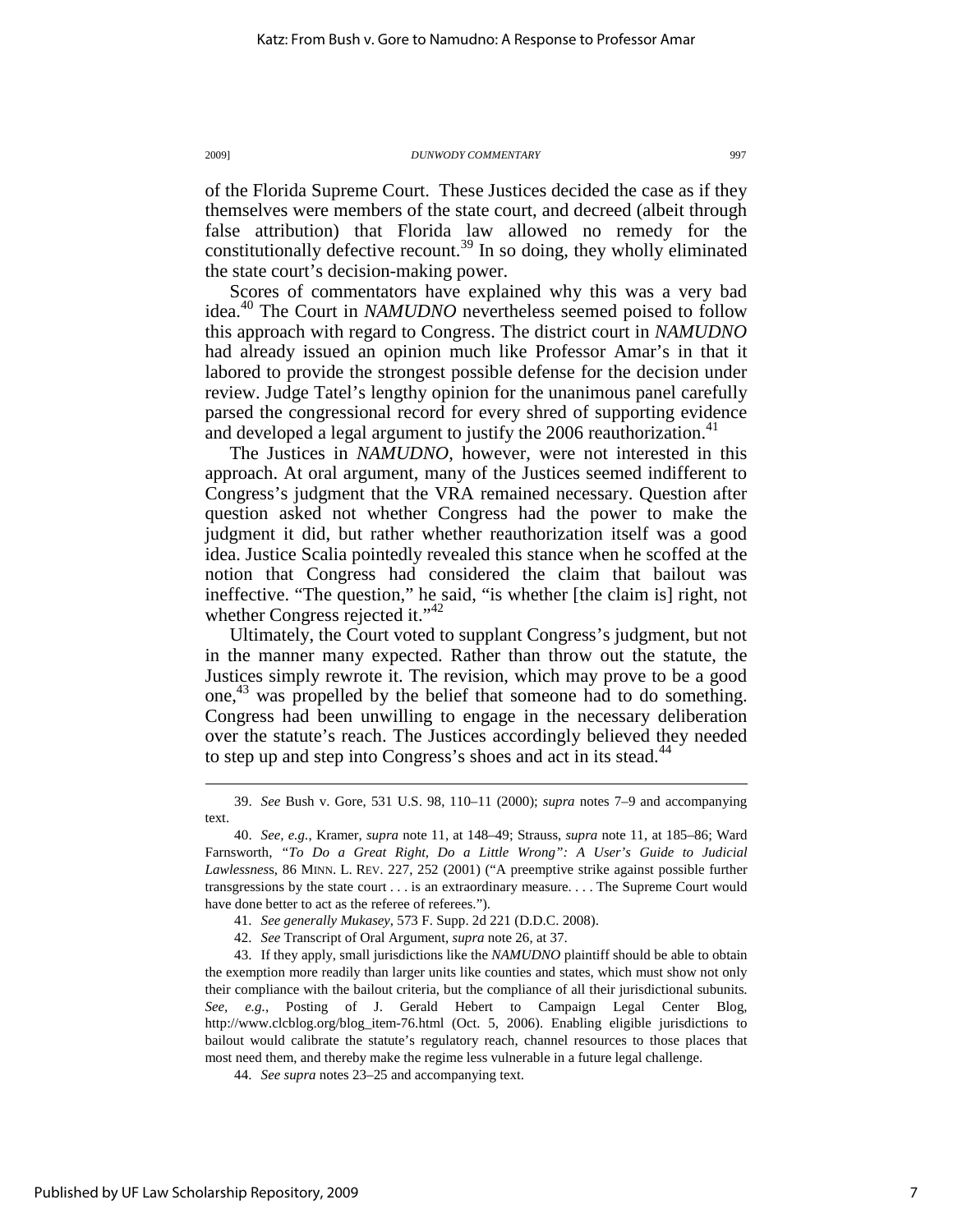of the Florida Supreme Court. These Justices decided the case as if they themselves were members of the state court, and decreed (albeit through false attribution) that Florida law allowed no remedy for the constitutionally defective recount.<sup>39</sup> In so doing, they wholly eliminated the state court's decision-making power.

Scores of commentators have explained why this was a very bad idea.<sup>40</sup> The Court in *NAMUDNO* nevertheless seemed poised to follow this approach with regard to Congress. The district court in *NAMUDNO* had already issued an opinion much like Professor Amar's in that it labored to provide the strongest possible defense for the decision under review. Judge Tatel's lengthy opinion for the unanimous panel carefully parsed the congressional record for every shred of supporting evidence and developed a legal argument to justify the  $2006$  reauthorization.<sup>41</sup>

The Justices in *NAMUDNO*, however, were not interested in this approach. At oral argument, many of the Justices seemed indifferent to Congress's judgment that the VRA remained necessary. Question after question asked not whether Congress had the power to make the judgment it did, but rather whether reauthorization itself was a good idea. Justice Scalia pointedly revealed this stance when he scoffed at the notion that Congress had considered the claim that bailout was ineffective. "The question," he said, "is whether [the claim is] right, not whether Congress rejected it."<sup>42</sup>

Ultimately, the Court voted to supplant Congress's judgment, but not in the manner many expected. Rather than throw out the statute, the Justices simply rewrote it. The revision, which may prove to be a good one, <sup>43</sup> was propelled by the belief that someone had to do something. Congress had been unwilling to engage in the necessary deliberation over the statute's reach. The Justices accordingly believed they needed to step up and step into Congress's shoes and act in its stead.<sup>44</sup>

 <sup>39.</sup> *See* Bush v. Gore, 531 U.S. 98, 110–11 (2000); *supra* notes 7–9 and accompanying text.

 <sup>40.</sup> *See, e.g.*, Kramer, *supra* note 11, at 148–49; Strauss, *supra* note 11, at 185–86; Ward Farnsworth, *"To Do a Great Right, Do a Little Wrong": A User's Guide to Judicial Lawlessnes*s, 86 MINN. L. REV. 227, 252 (2001) ("A preemptive strike against possible further transgressions by the state court . . . is an extraordinary measure. . . . The Supreme Court would have done better to act as the referee of referees.").

 <sup>41.</sup> *See generally Mukasey*, 573 F. Supp. 2d 221 (D.D.C. 2008).

 <sup>42.</sup> *See* Transcript of Oral Argument, *supra* note 26, at 37.

 <sup>43.</sup> If they apply, small jurisdictions like the *NAMUDNO* plaintiff should be able to obtain the exemption more readily than larger units like counties and states, which must show not only their compliance with the bailout criteria, but the compliance of all their jurisdictional subunits. *See, e.g.*, Posting of J. Gerald Hebert to Campaign Legal Center Blog, http://www.clcblog.org/blog\_item-76.html (Oct. 5, 2006). Enabling eligible jurisdictions to bailout would calibrate the statute's regulatory reach, channel resources to those places that most need them, and thereby make the regime less vulnerable in a future legal challenge.

 <sup>44.</sup> *See supra* notes 23–25 and accompanying text.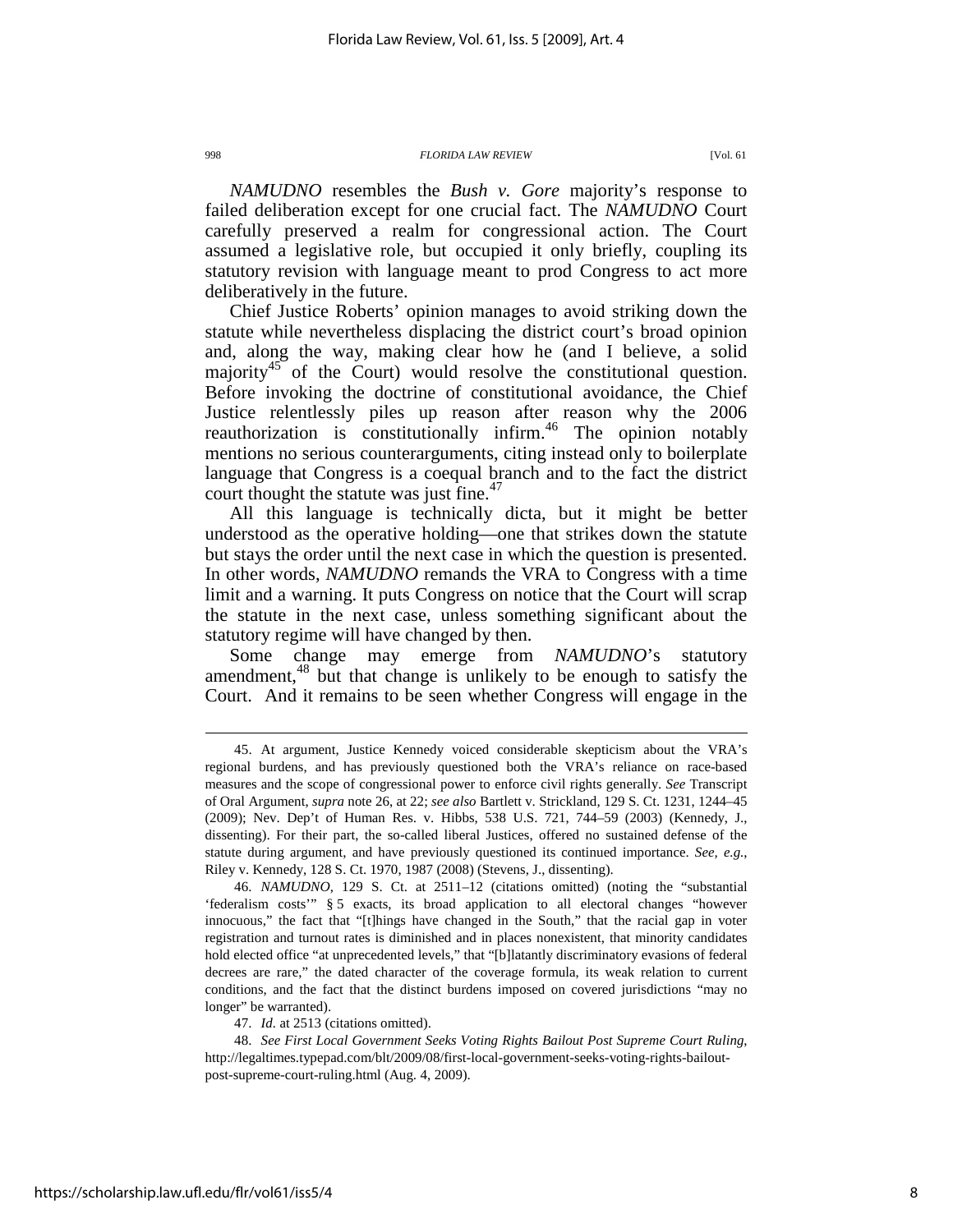*NAMUDNO* resembles the *Bush v. Gore* majority's response to failed deliberation except for one crucial fact. The *NAMUDNO* Court carefully preserved a realm for congressional action. The Court assumed a legislative role, but occupied it only briefly, coupling its statutory revision with language meant to prod Congress to act more deliberatively in the future.

Chief Justice Roberts' opinion manages to avoid striking down the statute while nevertheless displacing the district court's broad opinion and, along the way, making clear how he (and I believe, a solid majority<sup>45</sup> of the Court) would resolve the constitutional question. Before invoking the doctrine of constitutional avoidance, the Chief Justice relentlessly piles up reason after reason why the 2006 reauthorization is constitutionally infirm.<sup>46</sup> The opinion notably mentions no serious counterarguments, citing instead only to boilerplate language that Congress is a coequal branch and to the fact the district court thought the statute was just fine. $47$ 

All this language is technically dicta, but it might be better understood as the operative holding—one that strikes down the statute but stays the order until the next case in which the question is presented. In other words, *NAMUDNO* remands the VRA to Congress with a time limit and a warning. It puts Congress on notice that the Court will scrap the statute in the next case, unless something significant about the statutory regime will have changed by then.

Some change may emerge from *NAMUDNO*'s statutory amendment,<sup>48</sup> but that change is unlikely to be enough to satisfy the Court. And it remains to be seen whether Congress will engage in the

47. *Id.* at 2513 (citations omitted).

 48. *See First Local Government Seeks Voting Rights Bailout Post Supreme Court Ruling*, http://legaltimes.typepad.com/blt/2009/08/first-local-government-seeks-voting-rights-bailoutpost-supreme-court-ruling.html (Aug. 4, 2009).

 <sup>45.</sup> At argument, Justice Kennedy voiced considerable skepticism about the VRA's regional burdens, and has previously questioned both the VRA's reliance on race-based measures and the scope of congressional power to enforce civil rights generally. *See* Transcript of Oral Argument, *supra* note 26, at 22; *see also* Bartlett v. Strickland, 129 S. Ct. 1231, 1244–45 (2009); Nev. Dep't of Human Res. v. Hibbs, 538 U.S. 721, 744–59 (2003) (Kennedy, J., dissenting). For their part, the so-called liberal Justices, offered no sustained defense of the statute during argument, and have previously questioned its continued importance. *See, e.g.*, Riley v. Kennedy, 128 S. Ct. 1970, 1987 (2008) (Stevens, J., dissenting).

 <sup>46.</sup> *NAMUDNO*, 129 S. Ct. at 2511–12 (citations omitted) (noting the "substantial 'federalism costs'" § 5 exacts, its broad application to all electoral changes "however innocuous," the fact that "[t]hings have changed in the South," that the racial gap in voter registration and turnout rates is diminished and in places nonexistent, that minority candidates hold elected office "at unprecedented levels," that "[b]latantly discriminatory evasions of federal decrees are rare," the dated character of the coverage formula, its weak relation to current conditions, and the fact that the distinct burdens imposed on covered jurisdictions "may no longer" be warranted).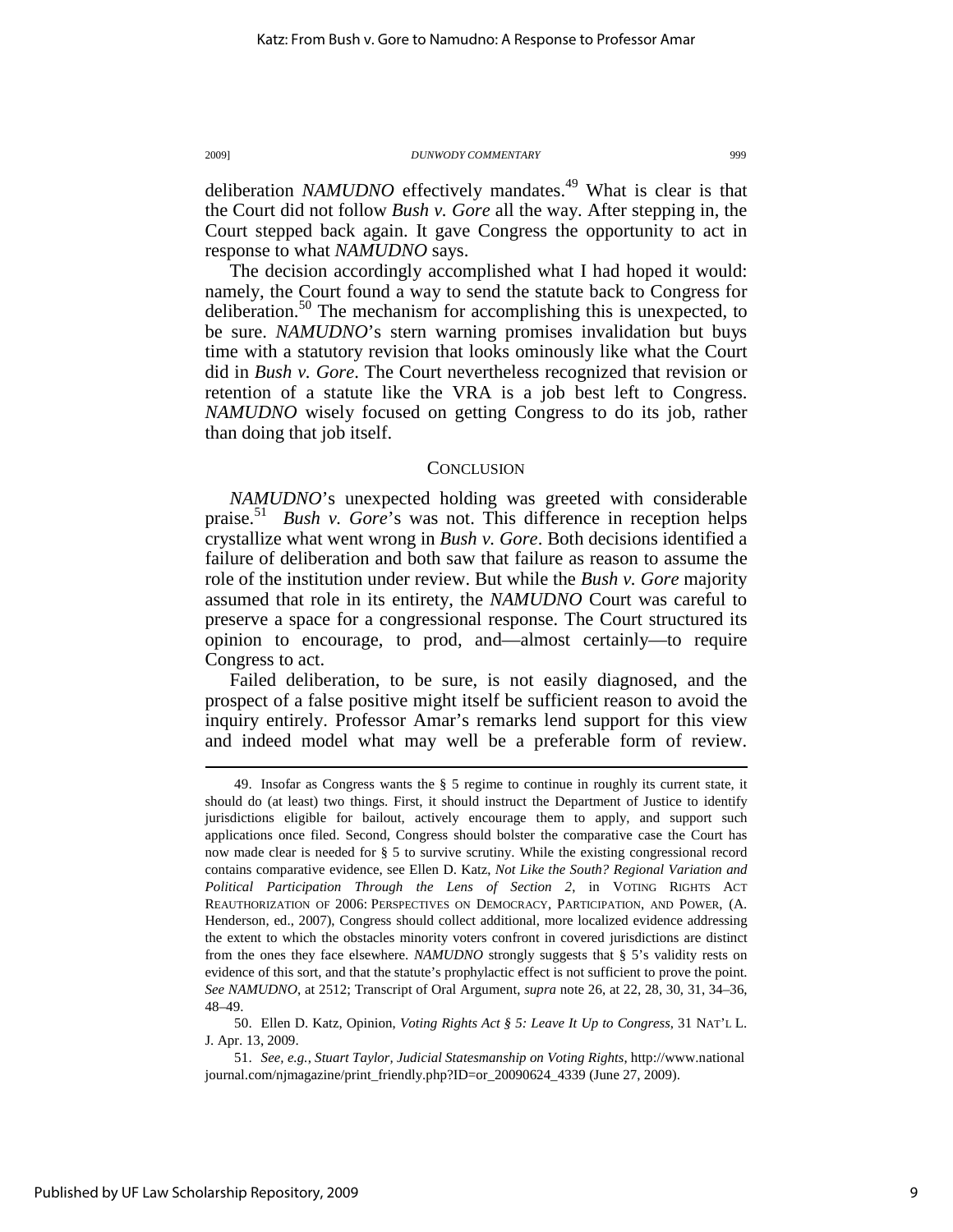deliberation *NAMUDNO* effectively mandates.<sup>49</sup> What is clear is that the Court did not follow *Bush v. Gore* all the way. After stepping in, the Court stepped back again. It gave Congress the opportunity to act in response to what *NAMUDNO* says.

The decision accordingly accomplished what I had hoped it would: namely, the Court found a way to send the statute back to Congress for deliberation.<sup>50</sup> The mechanism for accomplishing this is unexpected, to be sure. *NAMUDNO*'s stern warning promises invalidation but buys time with a statutory revision that looks ominously like what the Court did in *Bush v. Gore*. The Court nevertheless recognized that revision or retention of a statute like the VRA is a job best left to Congress. *NAMUDNO* wisely focused on getting Congress to do its job, rather than doing that job itself.

## **CONCLUSION**

*NAMUDNO*'s unexpected holding was greeted with considerable praise.<sup>51</sup> *Bush v. Gore*'s was not. This difference in reception helps crystallize what went wrong in *Bush v. Gore*. Both decisions identified a failure of deliberation and both saw that failure as reason to assume the role of the institution under review. But while the *Bush v. Gore* majority assumed that role in its entirety, the *NAMUDNO* Court was careful to preserve a space for a congressional response. The Court structured its opinion to encourage, to prod, and—almost certainly—to require Congress to act.

Failed deliberation, to be sure, is not easily diagnosed, and the prospect of a false positive might itself be sufficient reason to avoid the inquiry entirely. Professor Amar's remarks lend support for this view and indeed model what may well be a preferable form of review.

 <sup>49.</sup> Insofar as Congress wants the § 5 regime to continue in roughly its current state, it should do (at least) two things. First, it should instruct the Department of Justice to identify jurisdictions eligible for bailout, actively encourage them to apply, and support such applications once filed. Second, Congress should bolster the comparative case the Court has now made clear is needed for § 5 to survive scrutiny. While the existing congressional record contains comparative evidence, see Ellen D. Katz, *Not Like the South? Regional Variation and Political Participation Through the Lens of Section 2*, in VOTING RIGHTS ACT REAUTHORIZATION OF 2006: PERSPECTIVES ON DEMOCRACY, PARTICIPATION, AND POWER, (A. Henderson, ed., 2007), Congress should collect additional, more localized evidence addressing the extent to which the obstacles minority voters confront in covered jurisdictions are distinct from the ones they face elsewhere. *NAMUDNO* strongly suggests that § 5's validity rests on evidence of this sort, and that the statute's prophylactic effect is not sufficient to prove the point. *See NAMUDNO*, at 2512; Transcript of Oral Argument, *supra* note 26, at 22, 28, 30, 31, 34–36, 48–49.

 <sup>50.</sup> Ellen D. Katz, Opinion, *Voting Rights Act § 5: Leave It Up to Congress*, 31 NAT'L L. J. Apr. 13, 2009.

 <sup>51.</sup> *See, e.g.*, *Stuart Taylor, Judicial Statesmanship on Voting Rights*, http://www.national journal.com/njmagazine/print\_friendly.php?ID=or\_20090624\_4339 (June 27, 2009).